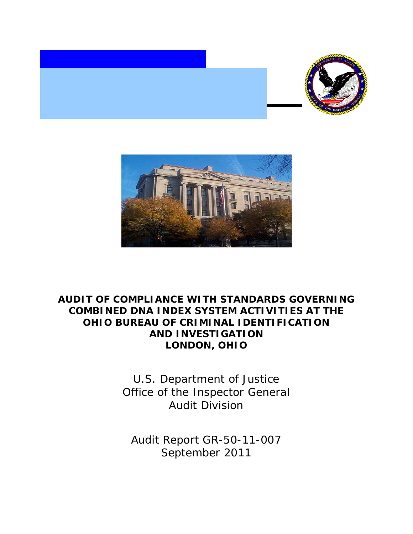



## **AUDIT OF COMPLIANCE WITH STANDARDS GOVERNING COMBINED DNA INDEX SYSTEM ACTIVITIES AT THE OHIO BUREAU OF CRIMINAL IDENTIFICATION AND INVESTIGATION LONDON, OHIO**

U.S. Department of Justice Office of the Inspector General Audit Division

Audit Report GR-50-11-007 September 2011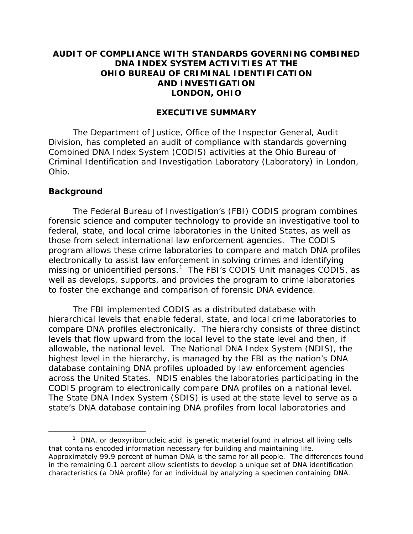#### **AUDIT OF COMPLIANCE WITH STANDARDS GOVERNING COMBINED DNA INDEX SYSTEM ACTIVITIES AT THE OHIO BUREAU OF CRIMINAL IDENTIFICATION AND INVESTIGATION LONDON, OHIO**

#### **EXECUTIVE SUMMARY**

The Department of Justice, Office of the Inspector General, Audit Division, has completed an audit of compliance with standards governing Combined DNA Index System (CODIS) activities at the Ohio Bureau of Criminal Identification and Investigation Laboratory (Laboratory) in London, Ohio.

#### **Background**

The Federal Bureau of Investigation's (FBI) CODIS program combines forensic science and computer technology to provide an investigative tool to federal, state, and local crime laboratories in the United States, as well as those from select international law enforcement agencies. The CODIS program allows these crime laboratories to compare and match DNA profiles electronically to assist law enforcement in solving crimes and identifying missing or unidentified persons.<sup>[1](#page-1-0)</sup> The FBI's CODIS Unit manages CODIS, as well as develops, supports, and provides the program to crime laboratories to foster the exchange and comparison of forensic DNA evidence.

The FBI implemented CODIS as a distributed database with hierarchical levels that enable federal, state, and local crime laboratories to compare DNA profiles electronically. The hierarchy consists of three distinct levels that flow upward from the local level to the state level and then, if allowable, the national level. The National DNA Index System (NDIS), the highest level in the hierarchy, is managed by the FBI as the nation's DNA database containing DNA profiles uploaded by law enforcement agencies across the United States. NDIS enables the laboratories participating in the CODIS program to electronically compare DNA profiles on a national level. The State DNA Index System (SDIS) is used at the state level to serve as a state's DNA database containing DNA profiles from local laboratories and

<span id="page-1-0"></span> $1$  DNA, or deoxyribonucleic acid, is genetic material found in almost all living cells that contains encoded information necessary for building and maintaining life. Approximately 99.9 percent of human DNA is the same for all people. The differences found in the remaining 0.1 percent allow scientists to develop a unique set of DNA identification characteristics (a DNA profile) for an individual by analyzing a specimen containing DNA.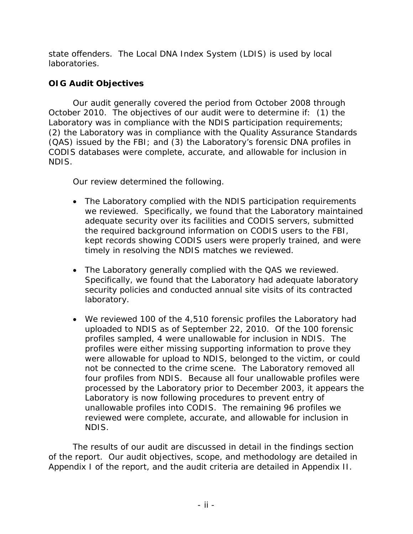state offenders. The Local DNA Index System (LDIS) is used by local laboratories.

## **OIG Audit Objectives**

Our audit generally covered the period from October 2008 through October 2010. The objectives of our audit were to determine if: (1) the Laboratory was in compliance with the NDIS participation requirements; (2) the Laboratory was in compliance with the Quality Assurance Standards (QAS) issued by the FBI; and (3) the Laboratory's forensic DNA profiles in CODIS databases were complete, accurate, and allowable for inclusion in NDIS.

Our review determined the following.

- The Laboratory complied with the NDIS participation requirements we reviewed. Specifically, we found that the Laboratory maintained adequate security over its facilities and CODIS servers, submitted the required background information on CODIS users to the FBI, kept records showing CODIS users were properly trained, and were timely in resolving the NDIS matches we reviewed.
- The Laboratory generally complied with the QAS we reviewed. Specifically, we found that the Laboratory had adequate laboratory security policies and conducted annual site visits of its contracted laboratory.
- We reviewed 100 of the 4,510 forensic profiles the Laboratory had uploaded to NDIS as of September 22, 2010. Of the 100 forensic profiles sampled, 4 were unallowable for inclusion in NDIS. The profiles were either missing supporting information to prove they were allowable for upload to NDIS, belonged to the victim, or could not be connected to the crime scene. The Laboratory removed all four profiles from NDIS. Because all four unallowable profiles were processed by the Laboratory prior to December 2003, it appears the Laboratory is now following procedures to prevent entry of unallowable profiles into CODIS. The remaining 96 profiles we reviewed were complete, accurate, and allowable for inclusion in NDIS.

The results of our audit are discussed in detail in the findings section of the report. Our audit objectives, scope, and methodology are detailed in Appendix I of the report, and the audit criteria are detailed in Appendix II.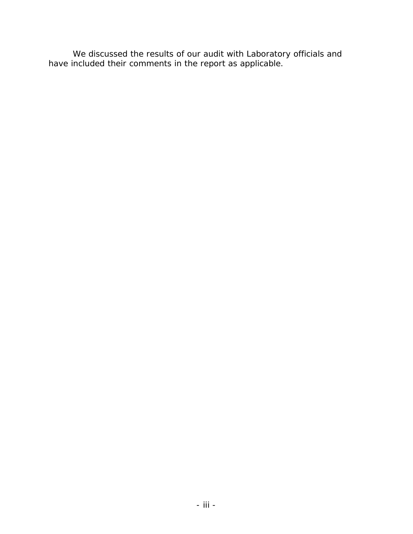We discussed the results of our audit with Laboratory officials and have included their comments in the report as applicable.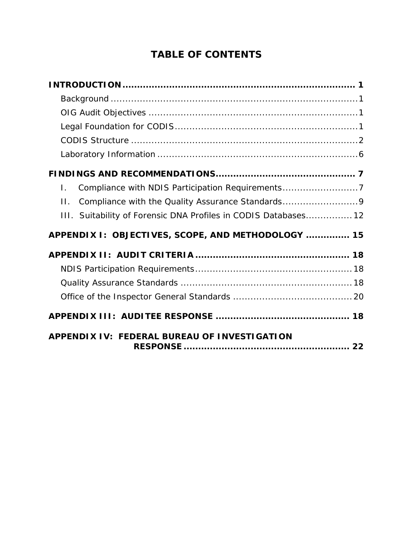# **TABLE OF CONTENTS**

| Compliance with NDIS Participation Requirements7<br>Ι.          |
|-----------------------------------------------------------------|
| Compliance with the Quality Assurance Standards9<br>$\Pi$ .     |
| III. Suitability of Forensic DNA Profiles in CODIS Databases 12 |
| APPENDIX I: OBJECTIVES, SCOPE, AND METHODOLOGY  15              |
|                                                                 |
|                                                                 |
|                                                                 |
|                                                                 |
|                                                                 |
| APPENDIX IV: FEDERAL BUREAU OF INVESTIGATION                    |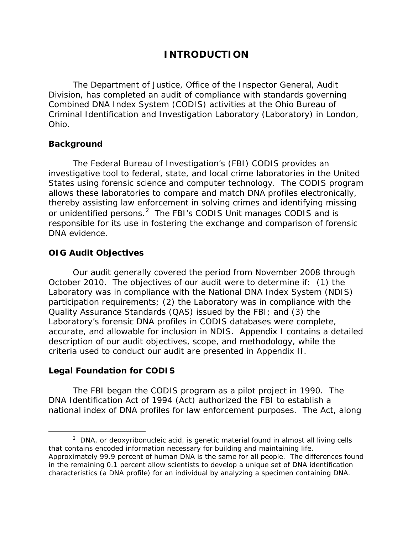## **INTRODUCTION**

<span id="page-5-0"></span>The Department of Justice, Office of the Inspector General, Audit Division, has completed an audit of compliance with standards governing Combined DNA Index System (CODIS) activities at the Ohio Bureau of Criminal Identification and Investigation Laboratory (Laboratory) in London, Ohio.

#### **Background**

The Federal Bureau of Investigation's (FBI) CODIS provides an investigative tool to federal, state, and local crime laboratories in the United States using forensic science and computer technology. The CODIS program allows these laboratories to compare and match DNA profiles electronically, thereby assisting law enforcement in solving crimes and identifying missing or unidentified persons.<sup>[2](#page-5-2)</sup> The FBI's CODIS Unit manages CODIS and is responsible for its use in fostering the exchange and comparison of forensic DNA evidence.

#### **OIG Audit Objectives**

Our audit generally covered the period from November 2008 through October 2010. The objectives of our audit were to determine if: (1) the Laboratory was in compliance with the National DNA Index System (NDIS) participation requirements; (2) the Laboratory was in compliance with the Quality Assurance Standards (QAS) issued by the FBI; and (3) the Laboratory's forensic DNA profiles in CODIS databases were complete, accurate, and allowable for inclusion in NDIS. Appendix I contains a detailed description of our audit objectives, scope, and methodology, while the criteria used to conduct our audit are presented in Appendix II.

#### <span id="page-5-1"></span>**Legal Foundation for CODIS**

The FBI began the CODIS program as a pilot project in 1990. The DNA Identification Act of 1994 (Act) authorized the FBI to establish a national index of DNA profiles for law enforcement purposes. The Act, along

<span id="page-5-2"></span> $\overline{\phantom{a}}$  2  $2$  DNA, or deoxyribonucleic acid, is genetic material found in almost all living cells that contains encoded information necessary for building and maintaining life. Approximately 99.9 percent of human DNA is the same for all people. The differences found in the remaining 0.1 percent allow scientists to develop a unique set of DNA identification characteristics (a DNA profile) for an individual by analyzing a specimen containing DNA.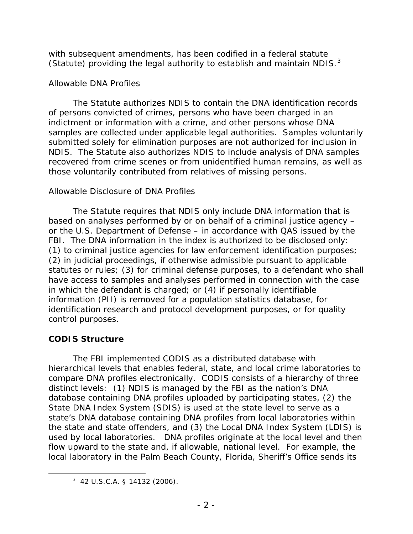with subsequent amendments, has been codified in a federal statute (Statute) providing the legal authority to establish and maintain NDIS. $3$ 

### *Allowable DNA Profiles*

The Statute authorizes NDIS to contain the DNA identification records of persons convicted of crimes, persons who have been charged in an indictment or information with a crime, and other persons whose DNA samples are collected under applicable legal authorities. Samples voluntarily submitted solely for elimination purposes are not authorized for inclusion in NDIS. The Statute also authorizes NDIS to include analysis of DNA samples recovered from crime scenes or from unidentified human remains, as well as those voluntarily contributed from relatives of missing persons.

#### *Allowable Disclosure of DNA Profiles*

The Statute requires that NDIS only include DNA information that is based on analyses performed by or on behalf of a criminal justice agency – or the U.S. Department of Defense – in accordance with QAS issued by the FBI. The DNA information in the index is authorized to be disclosed only: (1) to criminal justice agencies for law enforcement identification purposes; (2) in judicial proceedings, if otherwise admissible pursuant to applicable statutes or rules; (3) for criminal defense purposes, to a defendant who shall have access to samples and analyses performed in connection with the case in which the defendant is charged; or (4) if personally identifiable information (PII) is removed for a population statistics database, for identification research and protocol development purposes, or for quality control purposes.

### <span id="page-6-0"></span>**CODIS Structure**

 $\overline{a}$ 

The FBI implemented CODIS as a distributed database with hierarchical levels that enables federal, state, and local crime laboratories to compare DNA profiles electronically. CODIS consists of a hierarchy of three distinct levels: (1) NDIS is managed by the FBI as the nation's DNA database containing DNA profiles uploaded by participating states, (2) the State DNA Index System (SDIS) is used at the state level to serve as a state's DNA database containing DNA profiles from local laboratories within the state and state offenders, and (3) the Local DNA Index System (LDIS) is used by local laboratories. DNA profiles originate at the local level and then flow upward to the state and, if allowable, national level. For example, the local laboratory in the Palm Beach County, Florida, Sheriff's Office sends its

<span id="page-6-1"></span> $3\,$  42 U.S.C.A. § 14132 (2006).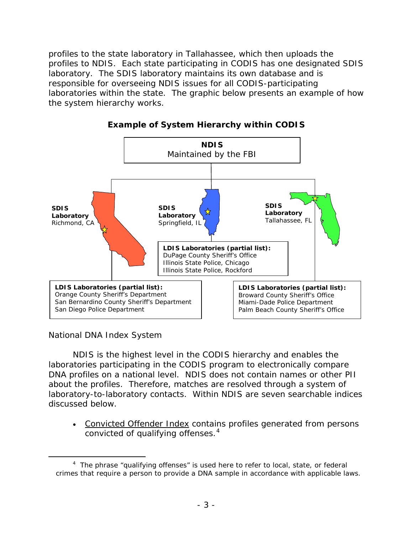profiles to the state laboratory in Tallahassee, which then uploads the profiles to NDIS. Each state participating in CODIS has one designated SDIS laboratory. The SDIS laboratory maintains its own database and is responsible for overseeing NDIS issues for all CODIS-participating laboratories within the state. The graphic below presents an example of how the system hierarchy works.



**Example of System Hierarchy within CODIS** 

*National DNA Index System*

 $\overline{a}$ 

NDIS is the highest level in the CODIS hierarchy and enables the laboratories participating in the CODIS program to electronically compare DNA profiles on a national level. NDIS does not contain names or other PII about the profiles. Therefore, matches are resolved through a system of laboratory-to-laboratory contacts. Within NDIS are seven searchable indices discussed below.

• Convicted Offender Index contains profiles generated from persons convicted of qualifying offenses. $4$ 

<span id="page-7-0"></span><sup>&</sup>lt;sup>4</sup> The phrase "qualifying offenses" is used here to refer to local, state, or federal crimes that require a person to provide a DNA sample in accordance with applicable laws.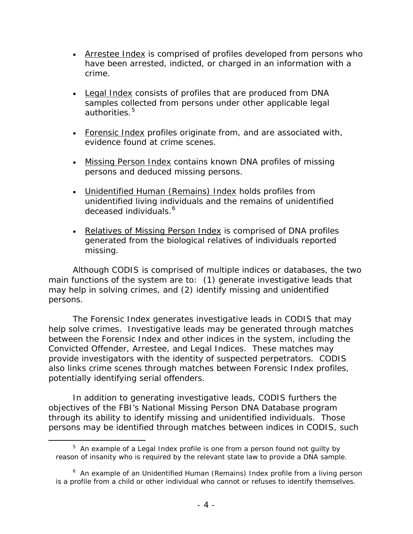- Arrestee Index is comprised of profiles developed from persons who have been arrested, indicted, or charged in an information with a crime.
- Legal Index consists of profiles that are produced from DNA samples collected from persons under other applicable legal authorities.<sup>[5](#page-8-0)</sup>
- Forensic Index profiles originate from, and are associated with, evidence found at crime scenes.
- Missing Person Index contains known DNA profiles of missing persons and deduced missing persons.
- Unidentified Human (Remains) Index holds profiles from unidentified living individuals and the remains of unidentified deceased individuals.<sup>[6](#page-8-1)</sup>
- Relatives of Missing Person Index is comprised of DNA profiles generated from the biological relatives of individuals reported missing.

Although CODIS is comprised of multiple indices or databases, the two main functions of the system are to: (1) generate investigative leads that may help in solving crimes, and (2) identify missing and unidentified persons.

The Forensic Index generates investigative leads in CODIS that may help solve crimes. Investigative leads may be generated through matches between the Forensic Index and other indices in the system, including the Convicted Offender, Arrestee, and Legal Indices. These matches may provide investigators with the identity of suspected perpetrators. CODIS also links crime scenes through matches between Forensic Index profiles, potentially identifying serial offenders.

In addition to generating investigative leads, CODIS furthers the objectives of the FBI's National Missing Person DNA Database program through its ability to identify missing and unidentified individuals. Those persons may be identified through matches between indices in CODIS, such

 $\overline{a}$ 

<span id="page-8-0"></span> $5$  An example of a Legal Index profile is one from a person found not guilty by reason of insanity who is required by the relevant state law to provide a DNA sample.

<span id="page-8-1"></span><sup>&</sup>lt;sup>6</sup> An example of an Unidentified Human (Remains) Index profile from a living person is a profile from a child or other individual who cannot or refuses to identify themselves.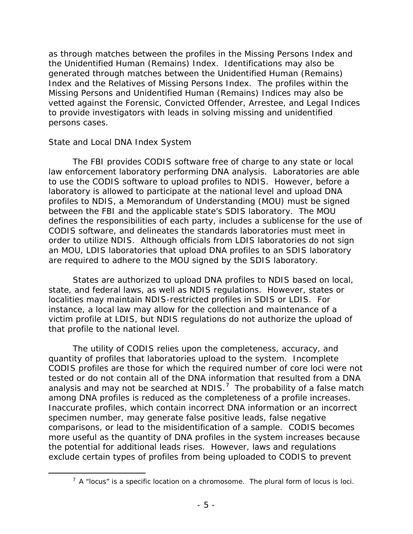as through matches between the profiles in the Missing Persons Index and the Unidentified Human (Remains) Index. Identifications may also be generated through matches between the Unidentified Human (Remains) Index and the Relatives of Missing Persons Index. The profiles within the Missing Persons and Unidentified Human (Remains) Indices may also be vetted against the Forensic, Convicted Offender, Arrestee, and Legal Indices to provide investigators with leads in solving missing and unidentified persons cases.

#### *State and Local DNA Index System*

 $\overline{a}$ 

The FBI provides CODIS software free of charge to any state or local law enforcement laboratory performing DNA analysis. Laboratories are able to use the CODIS software to upload profiles to NDIS. However, before a laboratory is allowed to participate at the national level and upload DNA profiles to NDIS, a Memorandum of Understanding (MOU) must be signed between the FBI and the applicable state's SDIS laboratory. The MOU defines the responsibilities of each party, includes a sublicense for the use of CODIS software, and delineates the standards laboratories must meet in order to utilize NDIS. Although officials from LDIS laboratories do not sign an MOU, LDIS laboratories that upload DNA profiles to an SDIS laboratory are required to adhere to the MOU signed by the SDIS laboratory.

States are authorized to upload DNA profiles to NDIS based on local, state, and federal laws, as well as NDIS regulations. However, states or localities may maintain NDIS-restricted profiles in SDIS or LDIS. For instance, a local law may allow for the collection and maintenance of a victim profile at LDIS, but NDIS regulations do not authorize the upload of that profile to the national level.

The utility of CODIS relies upon the completeness, accuracy, and quantity of profiles that laboratories upload to the system. Incomplete CODIS profiles are those for which the required number of core loci were not tested or do not contain all of the DNA information that resulted from a DNA analysis and may not be searched at NDIS.<sup>[7](#page-9-0)</sup> The probability of a false match among DNA profiles is reduced as the completeness of a profile increases. Inaccurate profiles, which contain incorrect DNA information or an incorrect specimen number, may generate false positive leads, false negative comparisons, or lead to the misidentification of a sample. CODIS becomes more useful as the quantity of DNA profiles in the system increases because the potential for additional leads rises. However, laws and regulations exclude certain types of profiles from being uploaded to CODIS to prevent

<span id="page-9-0"></span> $<sup>7</sup>$  A "locus" is a specific location on a chromosome. The plural form of locus is loci.</sup>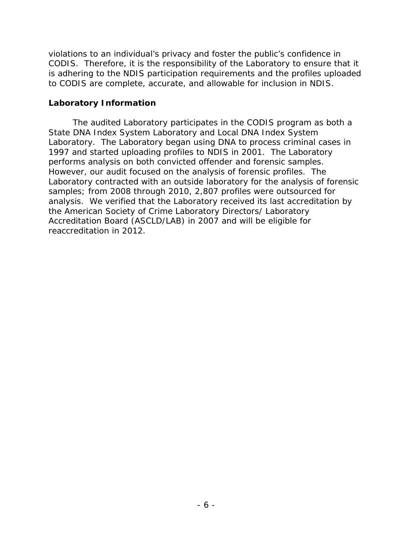violations to an individual's privacy and foster the public's confidence in CODIS. Therefore, it is the responsibility of the Laboratory to ensure that it is adhering to the NDIS participation requirements and the profiles uploaded to CODIS are complete, accurate, and allowable for inclusion in NDIS.

#### <span id="page-10-0"></span>**Laboratory Information**

The audited Laboratory participates in the CODIS program as both a State DNA Index System Laboratory and Local DNA Index System Laboratory. The Laboratory began using DNA to process criminal cases in 1997 and started uploading profiles to NDIS in 2001. The Laboratory performs analysis on both convicted offender and forensic samples. However, our audit focused on the analysis of forensic profiles. The Laboratory contracted with an outside laboratory for the analysis of forensic samples; from 2008 through 2010, 2,807 profiles were outsourced for analysis. We verified that the Laboratory received its last accreditation by the American Society of Crime Laboratory Directors/ Laboratory Accreditation Board (ASCLD/LAB) in 2007 and will be eligible for reaccreditation in 2012.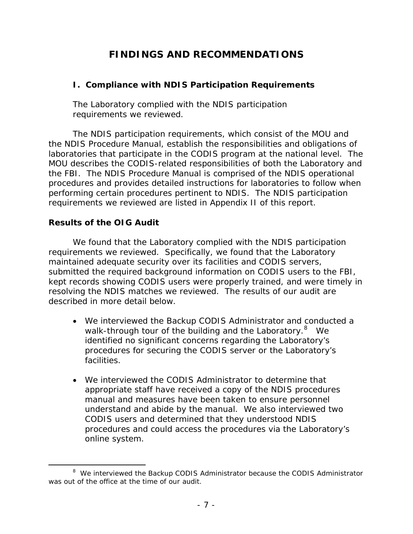## **FINDINGS AND RECOMMENDATIONS**

### <span id="page-11-1"></span><span id="page-11-0"></span>**I. Compliance with NDIS Participation Requirements**

The Laboratory complied with the NDIS participation requirements we reviewed.

The NDIS participation requirements, which consist of the MOU and the NDIS Procedure Manual, establish the responsibilities and obligations of laboratories that participate in the CODIS program at the national level. The MOU describes the CODIS-related responsibilities of both the Laboratory and the FBI. The NDIS Procedure Manual is comprised of the NDIS operational procedures and provides detailed instructions for laboratories to follow when performing certain procedures pertinent to NDIS. The NDIS participation requirements we reviewed are listed in Appendix II of this report.

### **Results of the OIG Audit**

 $\overline{a}$ 

We found that the Laboratory complied with the NDIS participation requirements we reviewed. Specifically, we found that the Laboratory maintained adequate security over its facilities and CODIS servers, submitted the required background information on CODIS users to the FBI, kept records showing CODIS users were properly trained, and were timely in resolving the NDIS matches we reviewed. The results of our audit are described in more detail below.

- We interviewed the Backup CODIS Administrator and conducted a walk-through tour of the building and the Laboratory.<sup>[8](#page-11-2)</sup> We identified no significant concerns regarding the Laboratory's procedures for securing the CODIS server or the Laboratory's facilities.
- We interviewed the CODIS Administrator to determine that appropriate staff have received a copy of the NDIS procedures manual and measures have been taken to ensure personnel understand and abide by the manual. We also interviewed two CODIS users and determined that they understood NDIS procedures and could access the procedures via the Laboratory's online system.

<span id="page-11-2"></span><sup>&</sup>lt;sup>8</sup> We interviewed the Backup CODIS Administrator because the CODIS Administrator was out of the office at the time of our audit.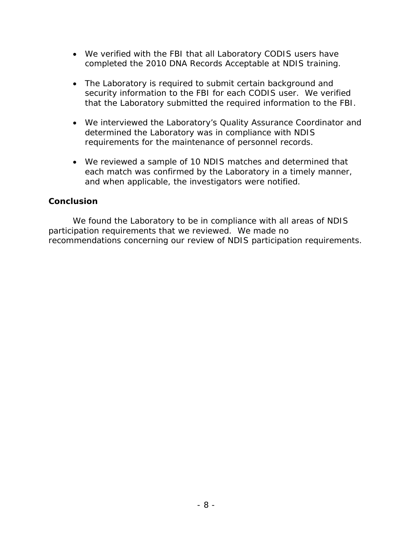- We verified with the FBI that all Laboratory CODIS users have completed the 2010 DNA Records Acceptable at NDIS training.
- The Laboratory is required to submit certain background and security information to the FBI for each CODIS user. We verified that the Laboratory submitted the required information to the FBI.
- We interviewed the Laboratory's Quality Assurance Coordinator and determined the Laboratory was in compliance with NDIS requirements for the maintenance of personnel records.
- We reviewed a sample of 10 NDIS matches and determined that each match was confirmed by the Laboratory in a timely manner, and when applicable, the investigators were notified.

#### **Conclusion**

We found the Laboratory to be in compliance with all areas of NDIS participation requirements that we reviewed. We made no recommendations concerning our review of NDIS participation requirements.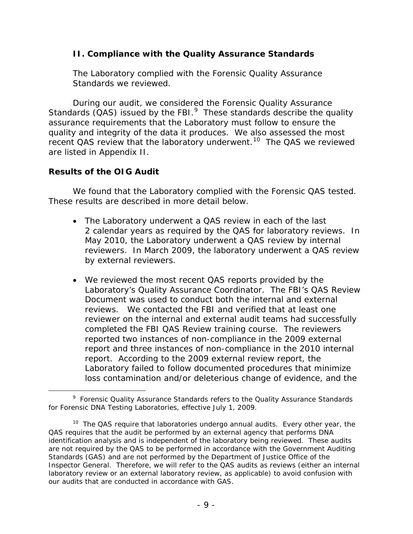#### <span id="page-13-0"></span>**II. Compliance with the Quality Assurance Standards**

The Laboratory complied with the Forensic Quality Assurance Standards we reviewed.

During our audit, we considered the Forensic Quality Assurance Standards  $(QAS)$  issued by the FBI. $<sup>9</sup>$  $<sup>9</sup>$  $<sup>9</sup>$  These standards describe the quality</sup> assurance requirements that the Laboratory must follow to ensure the quality and integrity of the data it produces. We also assessed the most recent QAS review that the laboratory underwent.<sup>10</sup> The QAS we reviewed are listed in Appendix II.

#### **Results of the OIG Audit**

We found that the Laboratory complied with the Forensic QAS tested. These results are described in more detail below.

- The Laboratory underwent a QAS review in each of the last 2 calendar years as required by the QAS for laboratory reviews. In May 2010, the Laboratory underwent a QAS review by internal reviewers. In March 2009, the laboratory underwent a QAS review by external reviewers.
- We reviewed the most recent QAS reports provided by the Laboratory's Quality Assurance Coordinator. The FBI's QAS Review Document was used to conduct both the internal and external reviews. We contacted the FBI and verified that at least one reviewer on the internal and external audit teams had successfully completed the FBI QAS Review training course. The reviewers reported two instances of non-compliance in the 2009 external report and three instances of non-compliance in the 2010 internal report. According to the 2009 external review report, the Laboratory failed to follow documented procedures that minimize loss contamination and/or deleterious change of evidence, and the

<span id="page-13-1"></span> <sup>9</sup> Forensic Quality Assurance Standards refers to the Quality Assurance Standards for Forensic DNA Testing Laboratories, effective July 1, 2009.

<span id="page-13-2"></span><sup>&</sup>lt;sup>10</sup> The QAS require that laboratories undergo annual audits. Every other year, the QAS requires that the audit be performed by an external agency that performs DNA identification analysis and is independent of the laboratory being reviewed. These audits are not required by the QAS to be performed in accordance with the *Government Auditing Standards* (GAS) and are not performed by the Department of Justice Office of the Inspector General. Therefore, we will refer to the QAS audits as reviews (either an internal laboratory review or an external laboratory review, as applicable) to avoid confusion with our audits that are conducted in accordance with GAS.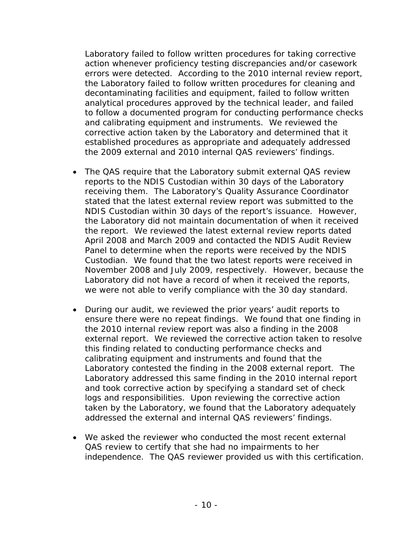Laboratory failed to follow written procedures for taking corrective action whenever proficiency testing discrepancies and/or casework errors were detected. According to the 2010 internal review report, the Laboratory failed to follow written procedures for cleaning and decontaminating facilities and equipment, failed to follow written analytical procedures approved by the technical leader, and failed to follow a documented program for conducting performance checks and calibrating equipment and instruments. We reviewed the corrective action taken by the Laboratory and determined that it established procedures as appropriate and adequately addressed the 2009 external and 2010 internal QAS reviewers' findings.

- The QAS require that the Laboratory submit external QAS review reports to the NDIS Custodian within 30 days of the Laboratory receiving them. The Laboratory's Quality Assurance Coordinator stated that the latest external review report was submitted to the NDIS Custodian within 30 days of the report's issuance. However, the Laboratory did not maintain documentation of when it received the report. We reviewed the latest external review reports dated April 2008 and March 2009 and contacted the NDIS Audit Review Panel to determine when the reports were received by the NDIS Custodian. We found that the two latest reports were received in November 2008 and July 2009, respectively. However, because the Laboratory did not have a record of when it received the reports, we were not able to verify compliance with the 30 day standard.
- During our audit, we reviewed the prior years' audit reports to ensure there were no repeat findings. We found that one finding in the 2010 internal review report was also a finding in the 2008 external report. We reviewed the corrective action taken to resolve this finding related to conducting performance checks and calibrating equipment and instruments and found that the Laboratory contested the finding in the 2008 external report. The Laboratory addressed this same finding in the 2010 internal report and took corrective action by specifying a standard set of check logs and responsibilities. Upon reviewing the corrective action taken by the Laboratory, we found that the Laboratory adequately addressed the external and internal QAS reviewers' findings.
- We asked the reviewer who conducted the most recent external QAS review to certify that she had no impairments to her independence. The QAS reviewer provided us with this certification.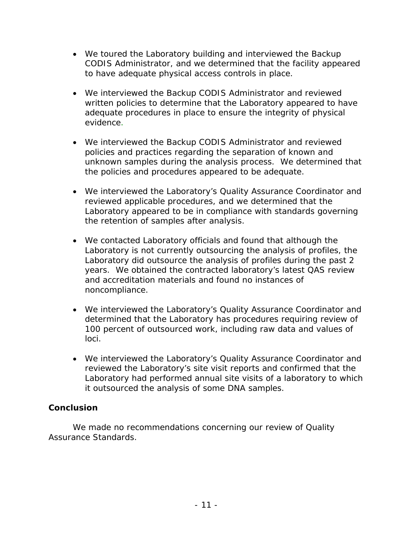- We toured the Laboratory building and interviewed the Backup CODIS Administrator, and we determined that the facility appeared to have adequate physical access controls in place.
- We interviewed the Backup CODIS Administrator and reviewed written policies to determine that the Laboratory appeared to have adequate procedures in place to ensure the integrity of physical evidence.
- We interviewed the Backup CODIS Administrator and reviewed policies and practices regarding the separation of known and unknown samples during the analysis process. We determined that the policies and procedures appeared to be adequate.
- We interviewed the Laboratory's Quality Assurance Coordinator and reviewed applicable procedures, and we determined that the Laboratory appeared to be in compliance with standards governing the retention of samples after analysis.
- We contacted Laboratory officials and found that although the Laboratory is not currently outsourcing the analysis of profiles, the Laboratory did outsource the analysis of profiles during the past 2 years. We obtained the contracted laboratory's latest QAS review and accreditation materials and found no instances of noncompliance.
- We interviewed the Laboratory's Quality Assurance Coordinator and determined that the Laboratory has procedures requiring review of 100 percent of outsourced work, including raw data and values of loci.
- We interviewed the Laboratory's Quality Assurance Coordinator and reviewed the Laboratory's site visit reports and confirmed that the Laboratory had performed annual site visits of a laboratory to which it outsourced the analysis of some DNA samples.

### **Conclusion**

We made no recommendations concerning our review of Quality Assurance Standards.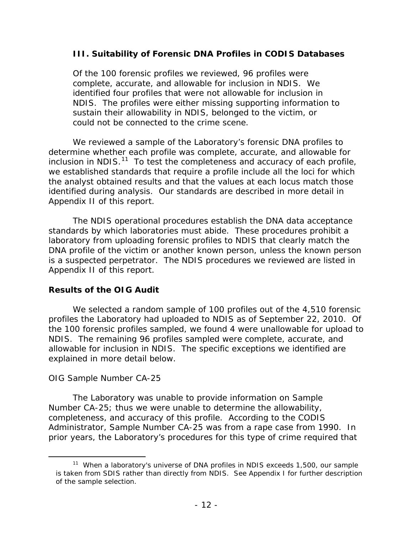#### <span id="page-16-0"></span>**III. Suitability of Forensic DNA Profiles in CODIS Databases**

Of the 100 forensic profiles we reviewed, 96 profiles were complete, accurate, and allowable for inclusion in NDIS. We identified four profiles that were not allowable for inclusion in NDIS. The profiles were either missing supporting information to sustain their allowability in NDIS, belonged to the victim, or could not be connected to the crime scene.

We reviewed a sample of the Laboratory's forensic DNA profiles to determine whether each profile was complete, accurate, and allowable for inclusion in NDIS. $11$  To test the completeness and accuracy of each profile, we established standards that require a profile include all the loci for which the analyst obtained results and that the values at each locus match those identified during analysis. Our standards are described in more detail in Appendix II of this report.

The NDIS operational procedures establish the DNA data acceptance standards by which laboratories must abide. These procedures prohibit a laboratory from uploading forensic profiles to NDIS that clearly match the DNA profile of the victim or another known person, unless the known person is a suspected perpetrator. The NDIS procedures we reviewed are listed in Appendix II of this report.

#### **Results of the OIG Audit**

We selected a random sample of 100 profiles out of the 4,510 forensic profiles the Laboratory had uploaded to NDIS as of September 22, 2010. Of the 100 forensic profiles sampled, we found 4 were unallowable for upload to NDIS. The remaining 96 profiles sampled were complete, accurate, and allowable for inclusion in NDIS. The specific exceptions we identified are explained in more detail below.

#### *OIG Sample Number CA-25*

<span id="page-16-1"></span> $\overline{a}$ 

The Laboratory was unable to provide information on Sample Number CA-25; thus we were unable to determine the allowability, completeness, and accuracy of this profile. According to the CODIS Administrator, Sample Number CA-25 was from a rape case from 1990. In prior years, the Laboratory's procedures for this type of crime required that

<sup>&</sup>lt;sup>11</sup> When a laboratory's universe of DNA profiles in NDIS exceeds 1,500, our sample is taken from SDIS rather than directly from NDIS. See Appendix I for further description of the sample selection.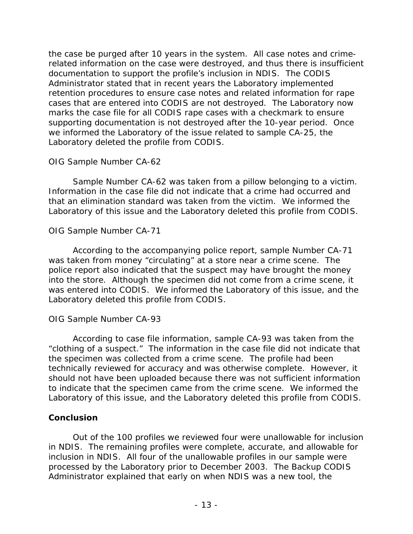the case be purged after 10 years in the system. All case notes and crimerelated information on the case were destroyed, and thus there is insufficient documentation to support the profile's inclusion in NDIS. The CODIS Administrator stated that in recent years the Laboratory implemented retention procedures to ensure case notes and related information for rape cases that are entered into CODIS are not destroyed. The Laboratory now marks the case file for all CODIS rape cases with a checkmark to ensure supporting documentation is not destroyed after the 10-year period. Once we informed the Laboratory of the issue related to sample CA-25, the Laboratory deleted the profile from CODIS.

#### *OIG Sample Number CA-62*

Sample Number CA-62 was taken from a pillow belonging to a victim. Information in the case file did not indicate that a crime had occurred and that an elimination standard was taken from the victim. We informed the Laboratory of this issue and the Laboratory deleted this profile from CODIS.

### *OIG Sample Number CA-71*

According to the accompanying police report, sample Number CA-71 was taken from money "circulating" at a store near a crime scene. The police report also indicated that the suspect may have brought the money into the store. Although the specimen did not come from a crime scene, it was entered into CODIS. We informed the Laboratory of this issue, and the Laboratory deleted this profile from CODIS.

### *OIG Sample Number CA-93*

According to case file information, sample CA-93 was taken from the "clothing of a suspect." The information in the case file did not indicate that the specimen was collected from a crime scene. The profile had been technically reviewed for accuracy and was otherwise complete. However, it should not have been uploaded because there was not sufficient information to indicate that the specimen came from the crime scene. We informed the Laboratory of this issue, and the Laboratory deleted this profile from CODIS.

### **Conclusion**

Out of the 100 profiles we reviewed four were unallowable for inclusion in NDIS. The remaining profiles were complete, accurate, and allowable for inclusion in NDIS. All four of the unallowable profiles in our sample were processed by the Laboratory prior to December 2003. The Backup CODIS Administrator explained that early on when NDIS was a new tool, the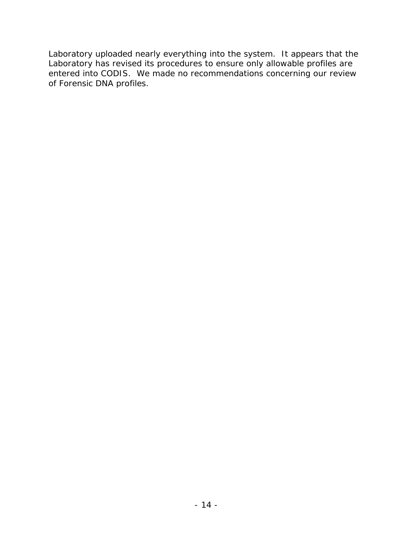Laboratory uploaded nearly everything into the system. It appears that the Laboratory has revised its procedures to ensure only allowable profiles are entered into CODIS. We made no recommendations concerning our review of Forensic DNA profiles.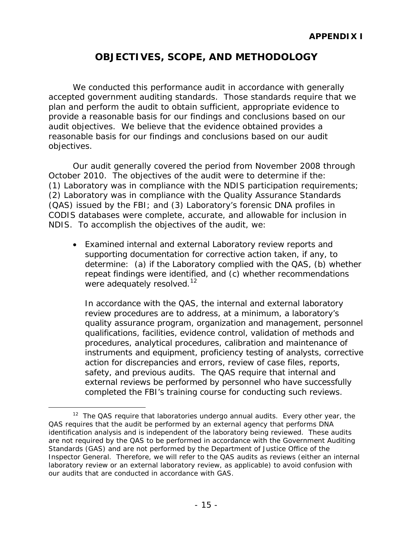## **OBJECTIVES, SCOPE, AND METHODOLOGY**

<span id="page-19-0"></span>We conducted this performance audit in accordance with generally accepted government auditing standards. Those standards require that we plan and perform the audit to obtain sufficient, appropriate evidence to provide a reasonable basis for our findings and conclusions based on our audit objectives. We believe that the evidence obtained provides a reasonable basis for our findings and conclusions based on our audit objectives.

Our audit generally covered the period from November 2008 through October 2010. The objectives of the audit were to determine if the: (1) Laboratory was in compliance with the NDIS participation requirements; (2) Laboratory was in compliance with the Quality Assurance Standards (QAS) issued by the FBI; and (3) Laboratory's forensic DNA profiles in CODIS databases were complete, accurate, and allowable for inclusion in NDIS. To accomplish the objectives of the audit, we:

• Examined internal and external Laboratory review reports and supporting documentation for corrective action taken, if any, to determine: (a) if the Laboratory complied with the QAS, (b) whether repeat findings were identified, and (c) whether recommendations were adequately resolved.<sup>[12](#page-19-1)</sup>

In accordance with the QAS, the internal and external laboratory review procedures are to address, at a minimum, a laboratory's quality assurance program, organization and management, personnel qualifications, facilities, evidence control, validation of methods and procedures, analytical procedures, calibration and maintenance of instruments and equipment, proficiency testing of analysts, corrective action for discrepancies and errors, review of case files, reports, safety, and previous audits. The QAS require that internal and external reviews be performed by personnel who have successfully completed the FBI's training course for conducting such reviews.

<span id="page-19-1"></span> $12$  The QAS require that laboratories undergo annual audits. Every other year, the QAS requires that the audit be performed by an external agency that performs DNA identification analysis and is independent of the laboratory being reviewed. These audits are not required by the QAS to be performed in accordance with the *Government Auditing Standards* (GAS) and are not performed by the Department of Justice Office of the Inspector General. Therefore, we will refer to the QAS audits as reviews (either an internal laboratory review or an external laboratory review, as applicable) to avoid confusion with our audits that are conducted in accordance with GAS.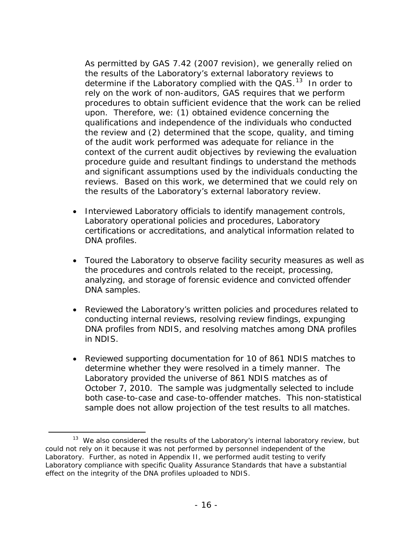As permitted by GAS 7.42 (2007 revision), we generally relied on the results of the Laboratory's external laboratory reviews to determine if the Laboratory complied with the  $QAS$ <sup>13</sup> In order to rely on the work of non-auditors, GAS requires that we perform procedures to obtain sufficient evidence that the work can be relied upon. Therefore, we: (1) obtained evidence concerning the qualifications and independence of the individuals who conducted the review and (2) determined that the scope, quality, and timing of the audit work performed was adequate for reliance in the context of the current audit objectives by reviewing the evaluation procedure guide and resultant findings to understand the methods and significant assumptions used by the individuals conducting the reviews. Based on this work, we determined that we could rely on the results of the Laboratory's external laboratory review.

- Interviewed Laboratory officials to identify management controls, Laboratory operational policies and procedures, Laboratory certifications or accreditations, and analytical information related to DNA profiles.
- Toured the Laboratory to observe facility security measures as well as the procedures and controls related to the receipt, processing, analyzing, and storage of forensic evidence and convicted offender DNA samples.
- Reviewed the Laboratory's written policies and procedures related to conducting internal reviews, resolving review findings, expunging DNA profiles from NDIS, and resolving matches among DNA profiles in NDIS.
- Reviewed supporting documentation for 10 of 861 NDIS matches to determine whether they were resolved in a timely manner. The Laboratory provided the universe of 861 NDIS matches as of October 7, 2010. The sample was judgmentally selected to include both case-to-case and case-to-offender matches. This non-statistical sample does not allow projection of the test results to all matches.

<span id="page-20-0"></span><sup>&</sup>lt;sup>13</sup> We also considered the results of the Laboratory's internal laboratory review, but could not rely on it because it was not performed by personnel independent of the Laboratory. Further, as noted in Appendix II, we performed audit testing to verify Laboratory compliance with specific Quality Assurance Standards that have a substantial effect on the integrity of the DNA profiles uploaded to NDIS.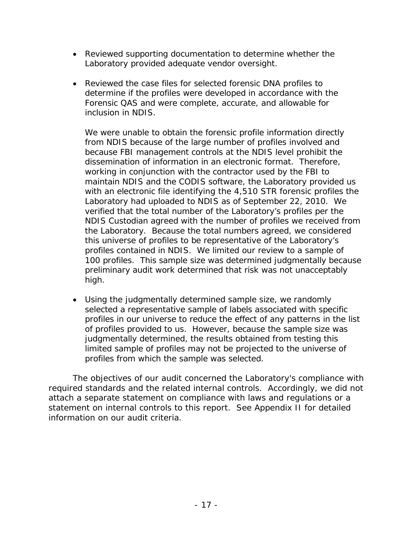- Reviewed supporting documentation to determine whether the Laboratory provided adequate vendor oversight.
- Reviewed the case files for selected forensic DNA profiles to determine if the profiles were developed in accordance with the Forensic QAS and were complete, accurate, and allowable for inclusion in NDIS.

We were unable to obtain the forensic profile information directly from NDIS because of the large number of profiles involved and because FBI management controls at the NDIS level prohibit the dissemination of information in an electronic format. Therefore, working in conjunction with the contractor used by the FBI to maintain NDIS and the CODIS software, the Laboratory provided us with an electronic file identifying the 4,510 STR forensic profiles the Laboratory had uploaded to NDIS as of September 22, 2010. We verified that the total number of the Laboratory's profiles per the NDIS Custodian agreed with the number of profiles we received from the Laboratory. Because the total numbers agreed, we considered this universe of profiles to be representative of the Laboratory's profiles contained in NDIS. We limited our review to a sample of 100 profiles. This sample size was determined judgmentally because preliminary audit work determined that risk was not unacceptably high.

• Using the judgmentally determined sample size, we randomly selected a representative sample of labels associated with specific profiles in our universe to reduce the effect of any patterns in the list of profiles provided to us. However, because the sample size was judgmentally determined, the results obtained from testing this limited sample of profiles may not be projected to the universe of profiles from which the sample was selected.

The objectives of our audit concerned the Laboratory's compliance with required standards and the related internal controls. Accordingly, we did not attach a separate statement on compliance with laws and regulations or a statement on internal controls to this report. See Appendix II for detailed information on our audit criteria.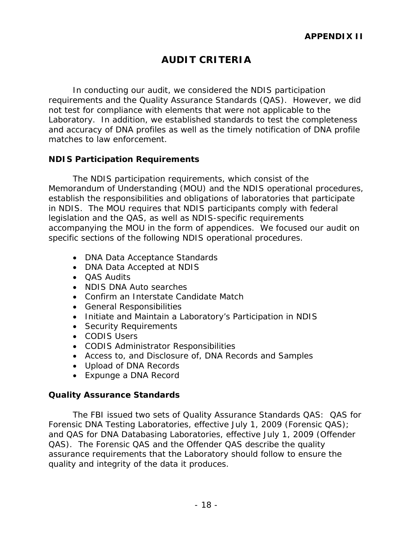## **AUDIT CRITERIA**

<span id="page-22-0"></span>In conducting our audit, we considered the NDIS participation requirements and the Quality Assurance Standards (QAS). However, we did not test for compliance with elements that were not applicable to the Laboratory. In addition, we established standards to test the completeness and accuracy of DNA profiles as well as the timely notification of DNA profile matches to law enforcement.

#### <span id="page-22-1"></span>**NDIS Participation Requirements**

The NDIS participation requirements, which consist of the Memorandum of Understanding (MOU) and the NDIS operational procedures, establish the responsibilities and obligations of laboratories that participate in NDIS. The MOU requires that NDIS participants comply with federal legislation and the QAS, as well as NDIS-specific requirements accompanying the MOU in the form of appendices. We focused our audit on specific sections of the following NDIS operational procedures.

- DNA Data Acceptance Standards
- DNA Data Accepted at NDIS
- QAS Audits
- NDIS DNA Auto searches
- Confirm an Interstate Candidate Match
- General Responsibilities
- Initiate and Maintain a Laboratory's Participation in NDIS
- Security Requirements
- CODIS Users
- CODIS Administrator Responsibilities
- Access to, and Disclosure of, DNA Records and Samples
- Upload of DNA Records
- Expunge a DNA Record

#### <span id="page-22-2"></span>**Quality Assurance Standards**

The FBI issued two sets of Quality Assurance Standards QAS: QAS for Forensic DNA Testing Laboratories, effective July 1, 2009 (Forensic QAS); and QAS for DNA Databasing Laboratories, effective July 1, 2009 (Offender QAS). The Forensic QAS and the Offender QAS describe the quality assurance requirements that the Laboratory should follow to ensure the quality and integrity of the data it produces.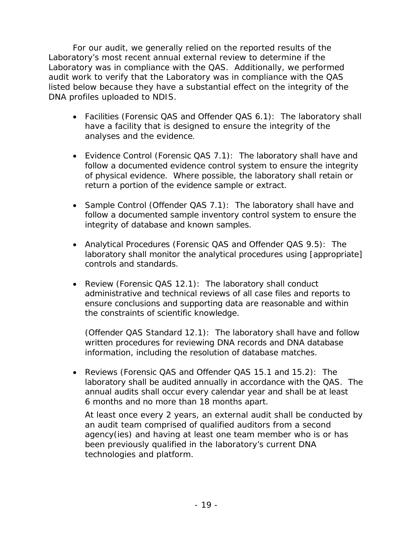For our audit, we generally relied on the reported results of the Laboratory's most recent annual external review to determine if the Laboratory was in compliance with the QAS. Additionally, we performed audit work to verify that the Laboratory was in compliance with the QAS listed below because they have a substantial effect on the integrity of the DNA profiles uploaded to NDIS.

- Facilities (Forensic QAS and Offender QAS 6.1): The laboratory shall have a facility that is designed to ensure the integrity of the analyses and the evidence.
- Evidence Control (Forensic QAS 7.1): The laboratory shall have and follow a documented evidence control system to ensure the integrity of physical evidence. Where possible, the laboratory shall retain or return a portion of the evidence sample or extract.
- Sample Control (Offender QAS 7.1): The laboratory shall have and follow a documented sample inventory control system to ensure the integrity of database and known samples.
- Analytical Procedures (Forensic QAS and Offender QAS 9.5): The laboratory shall monitor the analytical procedures using [appropriate] controls and standards.
- Review (Forensic QAS 12.1): The laboratory shall conduct administrative and technical reviews of all case files and reports to ensure conclusions and supporting data are reasonable and within the constraints of scientific knowledge.

(Offender QAS Standard 12.1): The laboratory shall have and follow written procedures for reviewing DNA records and DNA database information, including the resolution of database matches.

• Reviews (Forensic QAS and Offender QAS 15.1 and 15.2): The laboratory shall be audited annually in accordance with the QAS. The annual audits shall occur every calendar year and shall be at least 6 months and no more than 18 months apart.

At least once every 2 years, an external audit shall be conducted by an audit team comprised of qualified auditors from a second agency(ies) and having at least one team member who is or has been previously qualified in the laboratory's current DNA technologies and platform.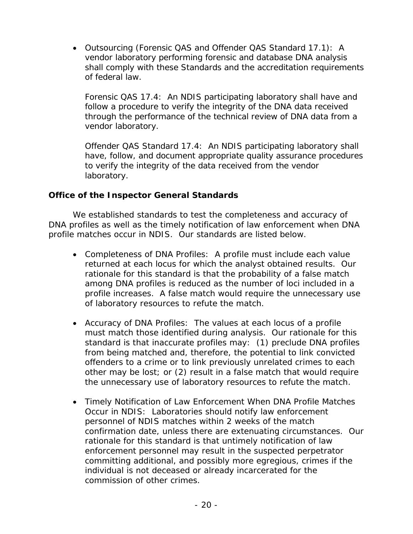• Outsourcing (Forensic QAS and Offender QAS Standard 17.1): A vendor laboratory performing forensic and database DNA analysis shall comply with these Standards and the accreditation requirements of federal law.

Forensic QAS 17.4: An NDIS participating laboratory shall have and follow a procedure to verify the integrity of the DNA data received through the performance of the technical review of DNA data from a vendor laboratory.

Offender QAS Standard 17.4: An NDIS participating laboratory shall have, follow, and document appropriate quality assurance procedures to verify the integrity of the data received from the vendor laboratory.

#### <span id="page-24-0"></span>**Office of the Inspector General Standards**

We established standards to test the completeness and accuracy of DNA profiles as well as the timely notification of law enforcement when DNA profile matches occur in NDIS. Our standards are listed below.

- Completeness of DNA Profiles: A profile must include each value returned at each locus for which the analyst obtained results. Our rationale for this standard is that the probability of a false match among DNA profiles is reduced as the number of loci included in a profile increases. A false match would require the unnecessary use of laboratory resources to refute the match.
- Accuracy of DNA Profiles: The values at each locus of a profile must match those identified during analysis. Our rationale for this standard is that inaccurate profiles may: (1) preclude DNA profiles from being matched and, therefore, the potential to link convicted offenders to a crime or to link previously unrelated crimes to each other may be lost; or (2) result in a false match that would require the unnecessary use of laboratory resources to refute the match.
- Timely Notification of Law Enforcement When DNA Profile Matches Occur in NDIS: Laboratories should notify law enforcement personnel of NDIS matches within 2 weeks of the match confirmation date, unless there are extenuating circumstances. Our rationale for this standard is that untimely notification of law enforcement personnel may result in the suspected perpetrator committing additional, and possibly more egregious, crimes if the individual is not deceased or already incarcerated for the commission of other crimes.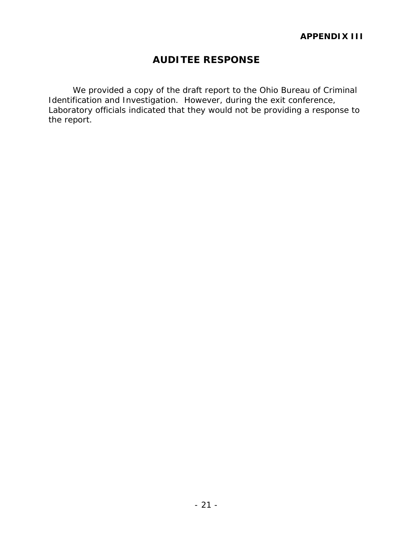## **AUDITEE RESPONSE**

We provided a copy of the draft report to the Ohio Bureau of Criminal Identification and Investigation. However, during the exit conference, Laboratory officials indicated that they would not be providing a response to the report.